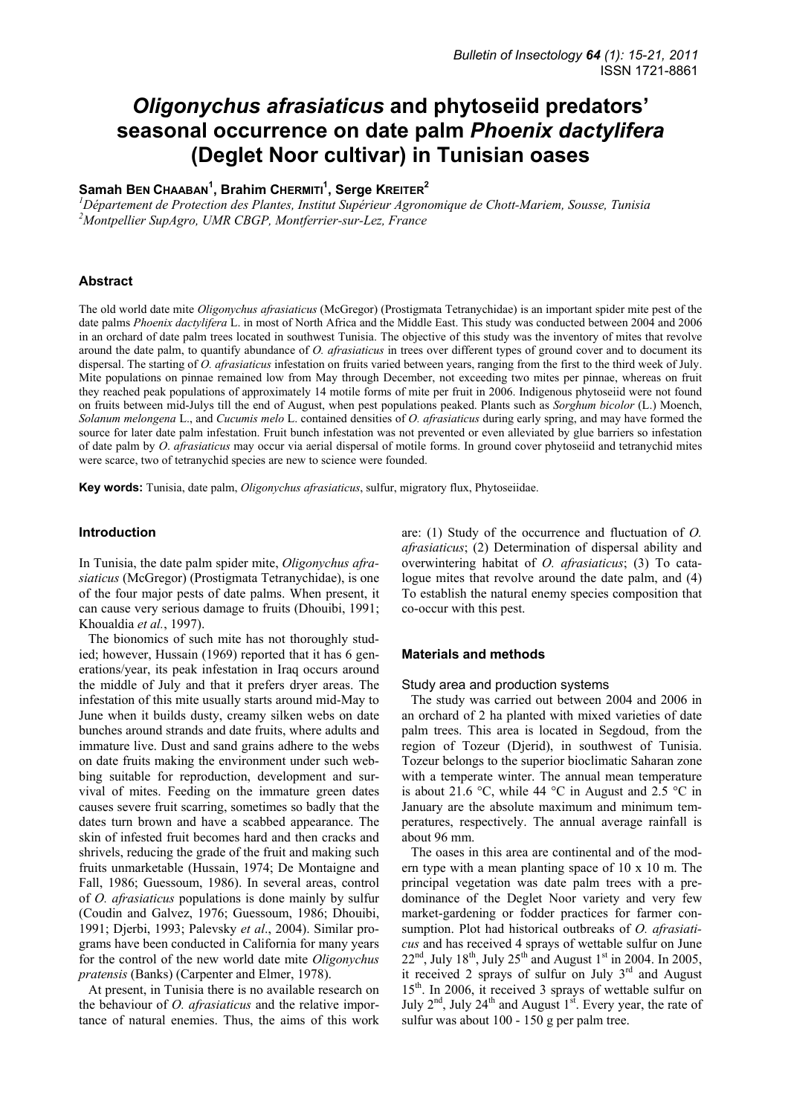# *Oligonychus afrasiaticus* **and phytoseiid predators' seasonal occurrence on date palm** *Phoenix dactylifera*  **(Deglet Noor cultivar) in Tunisian oases**

# $Samah$  Вем Снаавам<sup>1</sup>, Brahim Сневміті<sup>1</sup>, Serge Kвеітев<sup>2</sup>

<sup>1</sup> Département de Protection des Plantes, Institut Supérieur Agronomique de Chott-Mariem, Sousse, Tunisia <sup>2</sup>Montpellieu Supérieur *Multipus Montpellier SupAgro, UMR CBGP, Montferrier-sur-Lez, France* 

# **Abstract**

The old world date mite *Oligonychus afrasiaticus* (McGregor) (Prostigmata Tetranychidae) is an important spider mite pest of the date palms *Phoenix dactylifera* L. in most of North Africa and the Middle East. This study was conducted between 2004 and 2006 in an orchard of date palm trees located in southwest Tunisia. The objective of this study was the inventory of mites that revolve around the date palm, to quantify abundance of *O. afrasiaticus* in trees over different types of ground cover and to document its dispersal. The starting of *O. afrasiaticus* infestation on fruits varied between years, ranging from the first to the third week of July. Mite populations on pinnae remained low from May through December, not exceeding two mites per pinnae, whereas on fruit they reached peak populations of approximately 14 motile forms of mite per fruit in 2006. Indigenous phytoseiid were not found on fruits between mid-Julys till the end of August, when pest populations peaked. Plants such as *Sorghum bicolor* (L.) Moench, *Solanum melongena* L., and *Cucumis melo* L. contained densities of *O. afrasiaticus* during early spring, and may have formed the source for later date palm infestation. Fruit bunch infestation was not prevented or even alleviated by glue barriers so infestation of date palm by *O*. *afrasiaticus* may occur via aerial dispersal of motile forms. In ground cover phytoseiid and tetranychid mites were scarce, two of tetranychid species are new to science were founded.

**Key words:** Tunisia, date palm, *Oligonychus afrasiaticus*, sulfur, migratory flux, Phytoseiidae.

## **Introduction**

In Tunisia, the date palm spider mite, *Oligonychus afrasiaticus* (McGregor) (Prostigmata Tetranychidae), is one of the four major pests of date palms. When present, it can cause very serious damage to fruits (Dhouibi, 1991; Khoualdia *et al.*, 1997).

The bionomics of such mite has not thoroughly studied; however, Hussain (1969) reported that it has 6 generations/year, its peak infestation in Iraq occurs around the middle of July and that it prefers dryer areas. The infestation of this mite usually starts around mid-May to June when it builds dusty, creamy silken webs on date bunches around strands and date fruits, where adults and immature live. Dust and sand grains adhere to the webs on date fruits making the environment under such webbing suitable for reproduction, development and survival of mites. Feeding on the immature green dates causes severe fruit scarring, sometimes so badly that the dates turn brown and have a scabbed appearance. The skin of infested fruit becomes hard and then cracks and shrivels, reducing the grade of the fruit and making such fruits unmarketable (Hussain, 1974; De Montaigne and Fall, 1986; Guessoum, 1986). In several areas, control of *O. afrasiaticus* populations is done mainly by sulfur (Coudin and Galvez, 1976; Guessoum, 1986; Dhouibi, 1991; Djerbi, 1993; Palevsky *et al*., 2004). Similar programs have been conducted in California for many years for the control of the new world date mite *Oligonychus pratensis* (Banks) (Carpenter and Elmer, 1978).

At present, in Tunisia there is no available research on the behaviour of *O. afrasiaticus* and the relative importance of natural enemies. Thus, the aims of this work are: (1) Study of the occurrence and fluctuation of *O. afrasiaticus*; (2) Determination of dispersal ability and overwintering habitat of *O. afrasiaticus*; (3) To catalogue mites that revolve around the date palm, and (4) To establish the natural enemy species composition that co-occur with this pest.

#### **Materials and methods**

#### Study area and production systems

The study was carried out between 2004 and 2006 in an orchard of 2 ha planted with mixed varieties of date palm trees. This area is located in Segdoud, from the region of Tozeur (Djerid), in southwest of Tunisia. Tozeur belongs to the superior bioclimatic Saharan zone with a temperate winter. The annual mean temperature is about 21.6 °C, while 44 °C in August and 2.5 °C in January are the absolute maximum and minimum temperatures, respectively. The annual average rainfall is about 96 mm.

The oases in this area are continental and of the modern type with a mean planting space of 10 x 10 m. The principal vegetation was date palm trees with a predominance of the Deglet Noor variety and very few market-gardening or fodder practices for farmer consumption. Plot had historical outbreaks of *O. afrasiaticus* and has received 4 sprays of wettable sulfur on June  $22<sup>nd</sup>$ , July 18<sup>th</sup>, July 25<sup>th</sup> and August 1<sup>st</sup> in 2004. In 2005, it received 2 sprays of sulfur on July 3<sup>rd</sup> and August 15<sup>th</sup>. In 2006, it received 3 sprays of wettable sulfur on July  $2<sup>nd</sup>$ , July  $24<sup>th</sup>$  and August  $1<sup>st</sup>$ . Every year, the rate of sulfur was about 100 - 150 g per palm tree.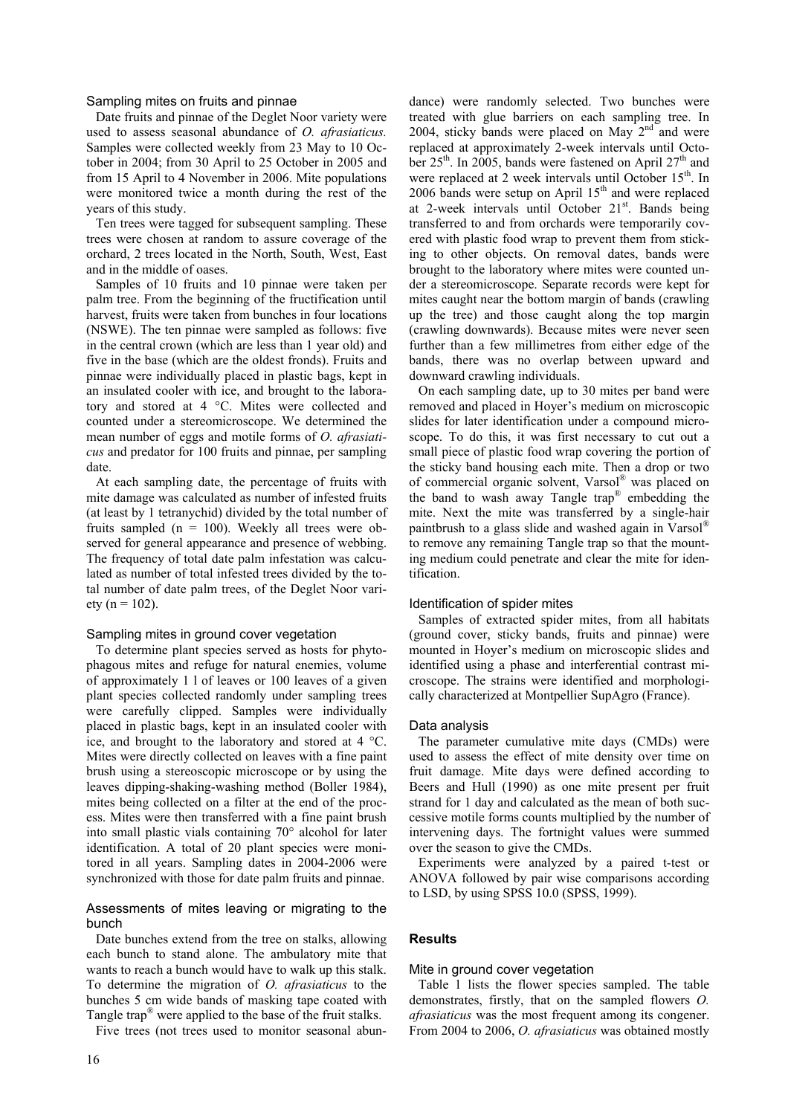### Sampling mites on fruits and pinnae

Date fruits and pinnae of the Deglet Noor variety were used to assess seasonal abundance of *O. afrasiaticus.* Samples were collected weekly from 23 May to 10 October in 2004; from 30 April to 25 October in 2005 and from 15 April to 4 November in 2006. Mite populations were monitored twice a month during the rest of the years of this study.

Ten trees were tagged for subsequent sampling. These trees were chosen at random to assure coverage of the orchard, 2 trees located in the North, South, West, East and in the middle of oases.

Samples of 10 fruits and 10 pinnae were taken per palm tree. From the beginning of the fructification until harvest, fruits were taken from bunches in four locations (NSWE). The ten pinnae were sampled as follows: five in the central crown (which are less than 1 year old) and five in the base (which are the oldest fronds). Fruits and pinnae were individually placed in plastic bags, kept in an insulated cooler with ice, and brought to the laboratory and stored at 4 °C. Mites were collected and counted under a stereomicroscope. We determined the mean number of eggs and motile forms of *O. afrasiaticus* and predator for 100 fruits and pinnae, per sampling date.

At each sampling date, the percentage of fruits with mite damage was calculated as number of infested fruits (at least by 1 tetranychid) divided by the total number of fruits sampled  $(n = 100)$ . Weekly all trees were observed for general appearance and presence of webbing. The frequency of total date palm infestation was calculated as number of total infested trees divided by the total number of date palm trees, of the Deglet Noor vari- $\text{etv}$  (n = 102).

## Sampling mites in ground cover vegetation

To determine plant species served as hosts for phytophagous mites and refuge for natural enemies, volume of approximately 1 l of leaves or 100 leaves of a given plant species collected randomly under sampling trees were carefully clipped. Samples were individually placed in plastic bags, kept in an insulated cooler with ice, and brought to the laboratory and stored at 4 °C. Mites were directly collected on leaves with a fine paint brush using a stereoscopic microscope or by using the leaves dipping-shaking-washing method (Boller 1984), mites being collected on a filter at the end of the process. Mites were then transferred with a fine paint brush into small plastic vials containing 70° alcohol for later identification. A total of 20 plant species were monitored in all years. Sampling dates in 2004-2006 were synchronized with those for date palm fruits and pinnae.

## Assessments of mites leaving or migrating to the bunch

Date bunches extend from the tree on stalks, allowing each bunch to stand alone. The ambulatory mite that wants to reach a bunch would have to walk up this stalk. To determine the migration of *O. afrasiaticus* to the bunches 5 cm wide bands of masking tape coated with Tangle trap® were applied to the base of the fruit stalks.

Five trees (not trees used to monitor seasonal abun-

dance) were randomly selected. Two bunches were treated with glue barriers on each sampling tree. In 2004, sticky bands were placed on May  $2<sup>nd</sup>$  and were replaced at approximately 2-week intervals until October  $25<sup>th</sup>$ . In 2005, bands were fastened on April  $27<sup>th</sup>$  and were replaced at 2 week intervals until October 15<sup>th</sup>. In 2006 bands were setup on April 15<sup>th</sup> and were replaced at 2-week intervals until October 21<sup>st</sup>. Bands being transferred to and from orchards were temporarily covered with plastic food wrap to prevent them from sticking to other objects. On removal dates, bands were brought to the laboratory where mites were counted under a stereomicroscope. Separate records were kept for mites caught near the bottom margin of bands (crawling up the tree) and those caught along the top margin (crawling downwards). Because mites were never seen further than a few millimetres from either edge of the bands, there was no overlap between upward and downward crawling individuals.

On each sampling date, up to 30 mites per band were removed and placed in Hoyer's medium on microscopic slides for later identification under a compound microscope. To do this, it was first necessary to cut out a small piece of plastic food wrap covering the portion of the sticky band housing each mite. Then a drop or two of commercial organic solvent, Varsol® was placed on the band to wash away Tangle trap® embedding the mite. Next the mite was transferred by a single-hair paintbrush to a glass slide and washed again in Varsol® to remove any remaining Tangle trap so that the mounting medium could penetrate and clear the mite for identification.

## Identification of spider mites

Samples of extracted spider mites, from all habitats (ground cover, sticky bands, fruits and pinnae) were mounted in Hoyer's medium on microscopic slides and identified using a phase and interferential contrast microscope. The strains were identified and morphologically characterized at Montpellier SupAgro (France).

#### Data analysis

The parameter cumulative mite days (CMDs) were used to assess the effect of mite density over time on fruit damage. Mite days were defined according to Beers and Hull (1990) as one mite present per fruit strand for 1 day and calculated as the mean of both successive motile forms counts multiplied by the number of intervening days. The fortnight values were summed over the season to give the CMDs.

Experiments were analyzed by a paired t-test or ANOVA followed by pair wise comparisons according to LSD, by using SPSS 10.0 (SPSS, 1999).

# **Results**

#### Mite in ground cover vegetation

Table 1 lists the flower species sampled. The table demonstrates, firstly, that on the sampled flowers *O. afrasiaticus* was the most frequent among its congener. From 2004 to 2006, *O. afrasiaticus* was obtained mostly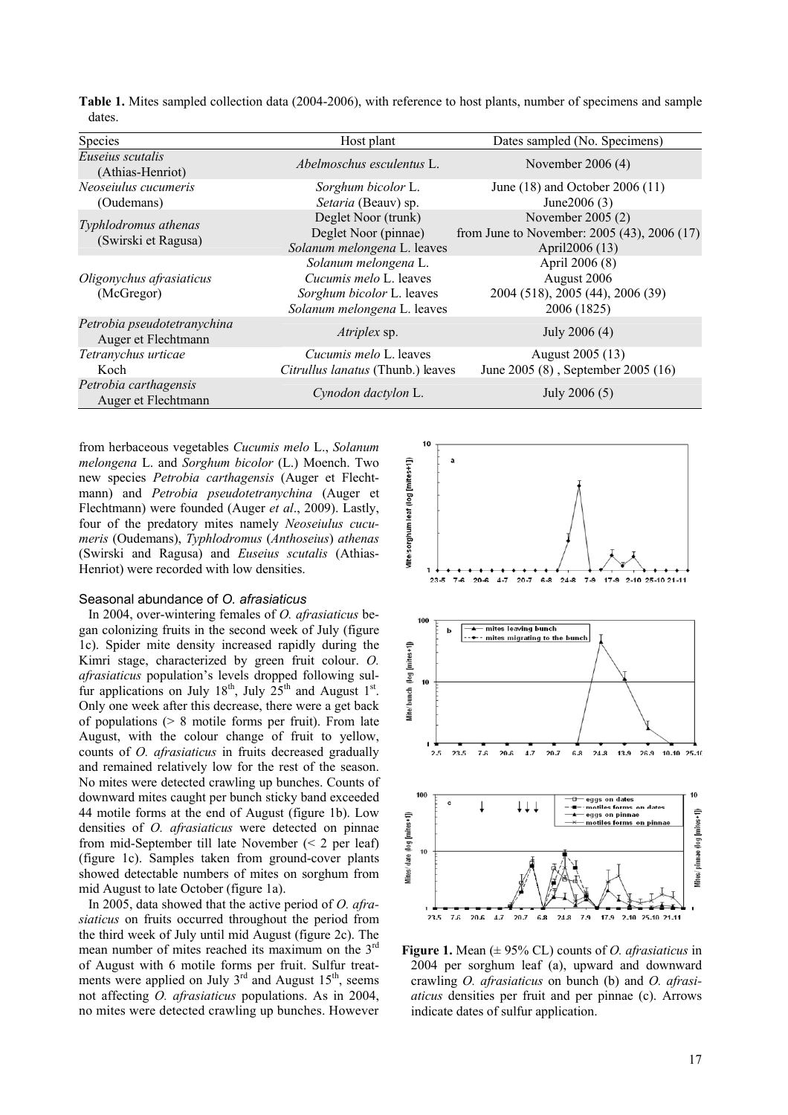| Species                                            | Host plant                                                                                                        | Dates sampled (No. Specimens)                                                      |
|----------------------------------------------------|-------------------------------------------------------------------------------------------------------------------|------------------------------------------------------------------------------------|
| Euseius scutalis<br>(Athias-Henriot)               | Abelmoschus esculentus L.                                                                                         | November $2006(4)$                                                                 |
| Neoseiulus cucumeris<br>(Oudemans)                 | Sorghum bicolor L.<br>Setaria (Beauv) sp.                                                                         | June (18) and October 2006 (11)<br>June $2006(3)$                                  |
| Typhlodromus athenas<br>(Swirski et Ragusa)        | Deglet Noor (trunk)<br>Deglet Noor (pinnae)<br>Solanum melongena L. leaves                                        | November 2005 (2)<br>from June to November: 2005 (43), 2006 (17)<br>April2006 (13) |
| Oligonychus afrasiaticus<br>(McGregor)             | Solanum melongena L.<br><i>Cucumis melo L.</i> leaves<br>Sorghum bicolor L. leaves<br>Solanum melongena L. leaves | April 2006 (8)<br>August 2006<br>2004 (518), 2005 (44), 2006 (39)<br>2006 (1825)   |
| Petrobia pseudotetranychina<br>Auger et Flechtmann | Atriplex sp.                                                                                                      | July 2006 (4)                                                                      |
| Tetranychus urticae<br>Koch                        | Cucumis melo L. leaves<br>Citrullus lanatus (Thunb.) leaves                                                       | August 2005 (13)<br>June 2005 (8), September 2005 (16)                             |
| Petrobia carthagensis<br>Auger et Flechtmann       | Cynodon dactylon L.                                                                                               | July 2006 (5)                                                                      |

**Table 1.** Mites sampled collection data (2004-2006), with reference to host plants, number of specimens and sample dates.

from herbaceous vegetables *Cucumis melo* L., *Solanum melongena* L. and *Sorghum bicolor* (L.) Moench. Two new species *Petrobia carthagensis* (Auger et Flechtmann) and *Petrobia pseudotetranychina* (Auger et Flechtmann) were founded (Auger *et al*., 2009). Lastly, four of the predatory mites namely *Neoseiulus cucumeris* (Oudemans), *Typhlodromus* (*Anthoseius*) *athenas* (Swirski and Ragusa) and *Euseius scutalis* (Athias-Henriot) were recorded with low densities.

# Seasonal abundance of *O. afrasiaticus*

In 2004, over-wintering females of *O. afrasiaticus* began colonizing fruits in the second week of July (figure 1c). Spider mite density increased rapidly during the Kimri stage, characterized by green fruit colour. *O. afrasiaticus* population's levels dropped following sulfur applications on July  $18^{th}$ , July  $25^{th}$  and August  $1^{st}$ . Only one week after this decrease, there were a get back of populations (> 8 motile forms per fruit). From late August, with the colour change of fruit to yellow, counts of *O. afrasiaticus* in fruits decreased gradually and remained relatively low for the rest of the season. No mites were detected crawling up bunches. Counts of downward mites caught per bunch sticky band exceeded 44 motile forms at the end of August (figure 1b). Low densities of *O. afrasiaticus* were detected on pinnae from mid-September till late November (< 2 per leaf) (figure 1c). Samples taken from ground-cover plants showed detectable numbers of mites on sorghum from mid August to late October (figure 1a).

In 2005, data showed that the active period of *O. afrasiaticus* on fruits occurred throughout the period from the third week of July until mid August (figure 2c). The mean number of mites reached its maximum on the 3rd of August with 6 motile forms per fruit. Sulfur treatments were applied on July  $3<sup>rd</sup>$  and August 15<sup>th</sup>, seems not affecting *O. afrasiaticus* populations. As in 2004, no mites were detected crawling up bunches. However



**Figure 1.** Mean (± 95% CL) counts of *O. afrasiaticus* in 2004 per sorghum leaf (a), upward and downward crawling *O. afrasiaticus* on bunch (b) and *O. afrasiaticus* densities per fruit and per pinnae (c). Arrows indicate dates of sulfur application.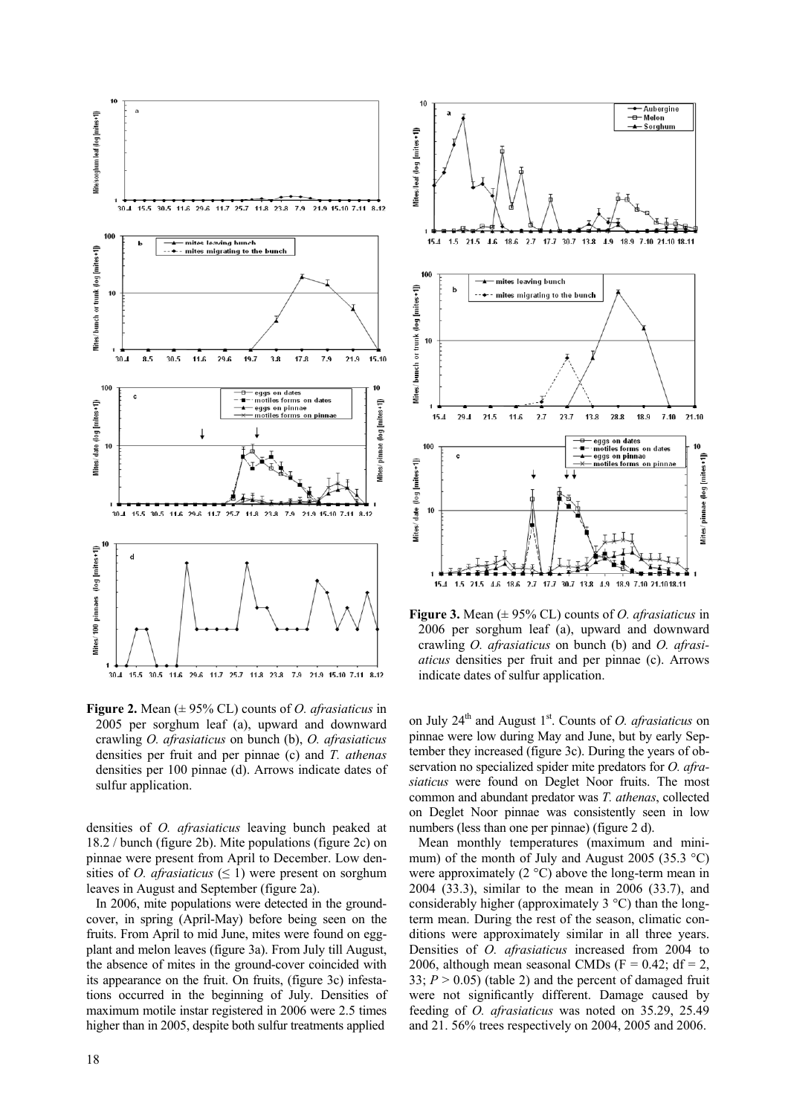

**Figure 2.** Mean (± 95% CL) counts of *O. afrasiaticus* in 2005 per sorghum leaf (a), upward and downward crawling *O. afrasiaticus* on bunch (b), *O. afrasiaticus*  densities per fruit and per pinnae (c) and *T. athenas* densities per 100 pinnae (d). Arrows indicate dates of sulfur application.

densities of *O. afrasiaticus* leaving bunch peaked at 18.2 / bunch (figure 2b). Mite populations (figure 2c) on pinnae were present from April to December. Low densities of *O. afrasiaticus* ( $\leq$  1) were present on sorghum leaves in August and September (figure 2a).

In 2006, mite populations were detected in the groundcover, in spring (April-May) before being seen on the fruits. From April to mid June, mites were found on eggplant and melon leaves (figure 3a). From July till August, the absence of mites in the ground-cover coincided with its appearance on the fruit. On fruits, (figure 3c) infestations occurred in the beginning of July. Densities of maximum motile instar registered in 2006 were 2.5 times higher than in 2005, despite both sulfur treatments applied



**Figure 3.** Mean (± 95% CL) counts of *O. afrasiaticus* in 2006 per sorghum leaf (a), upward and downward crawling *O. afrasiaticus* on bunch (b) and *O. afrasiaticus* densities per fruit and per pinnae (c). Arrows indicate dates of sulfur application.

on July  $24<sup>th</sup>$  and August 1<sup>st</sup>. Counts of *O. afrasiaticus* on pinnae were low during May and June, but by early September they increased (figure 3c). During the years of observation no specialized spider mite predators for *O. afrasiaticus* were found on Deglet Noor fruits. The most common and abundant predator was *T. athenas*, collected on Deglet Noor pinnae was consistently seen in low numbers (less than one per pinnae) (figure 2 d).

Mean monthly temperatures (maximum and minimum) of the month of July and August 2005 (35.3  $^{\circ}$ C) were approximately (2 °C) above the long-term mean in 2004 (33.3), similar to the mean in 2006 (33.7), and considerably higher (approximately 3 °C) than the longterm mean. During the rest of the season, climatic conditions were approximately similar in all three years. Densities of *O. afrasiaticus* increased from 2004 to 2006, although mean seasonal CMDs  $(F = 0.42; df = 2)$ , 33;  $P > 0.05$ ) (table 2) and the percent of damaged fruit were not significantly different. Damage caused by feeding of *O. afrasiaticus* was noted on 35.29, 25.49 and 21. 56% trees respectively on 2004, 2005 and 2006.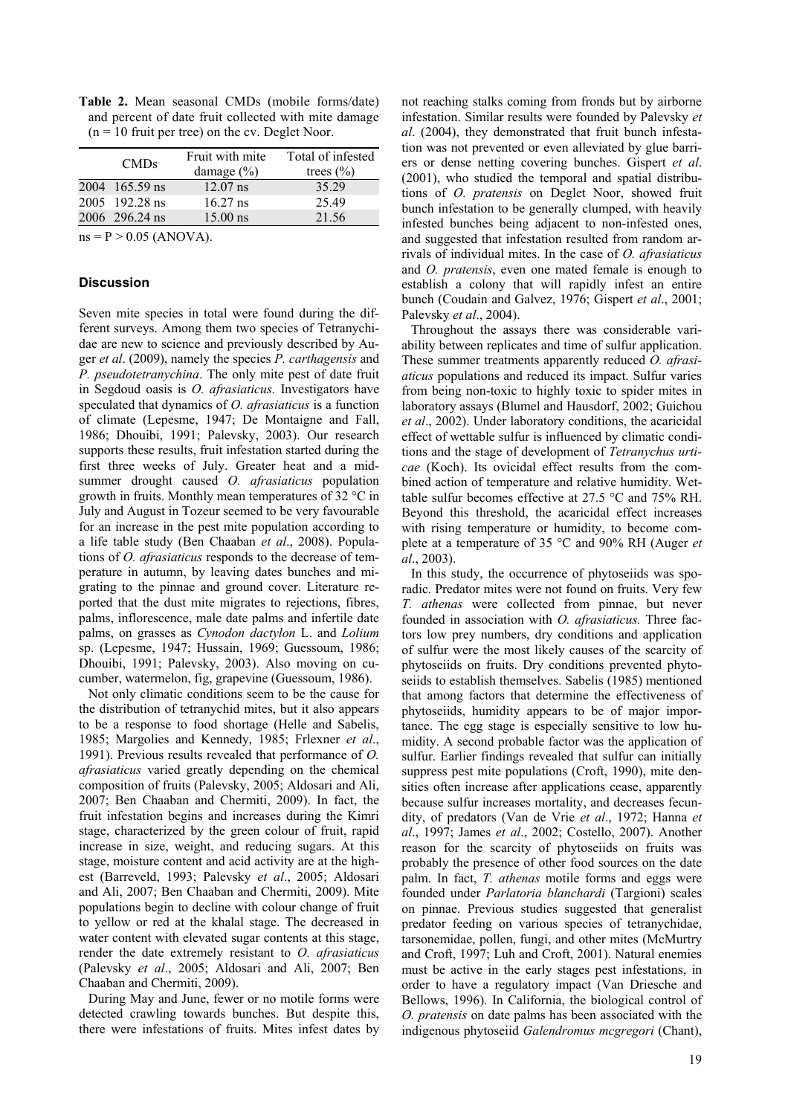**Table 2.** Mean seasonal CMDs (mobile forms/date) and percent of date fruit collected with mite damage  $(n = 10$  fruit per tree) on the cv. Deglet Noor.

| <b>CMDs</b>    | Fruit with mite<br>damage $(\% )$ | Total of infested<br>trees $(\% )$ |
|----------------|-----------------------------------|------------------------------------|
| 2004 165.59 ns | $12.07$ ns                        | 35 29                              |
| 2005 192.28 ns | $16.27$ ns                        | 25.49                              |
| 2006 296.24 ns | $15.00$ ns                        | 21.56                              |
|                |                                   |                                    |

 $ns = P > 0.05$  (ANOVA).

# **Discussion**

Seven mite species in total were found during the different surveys. Among them two species of Tetranychidae are new to science and previously described by Auger *et al*. (2009), namely the species *P. carthagensis* and *P. pseudotetranychina*. The only mite pest of date fruit in Segdoud oasis is *O. afrasiaticus.* Investigators have speculated that dynamics of *O. afrasiaticus* is a function of climate (Lepesme, 1947; De Montaigne and Fall, 1986; Dhouibi, 1991; Palevsky, 2003). Our research supports these results, fruit infestation started during the first three weeks of July. Greater heat and a midsummer drought caused *O. afrasiaticus* population growth in fruits. Monthly mean temperatures of 32 °C in July and August in Tozeur seemed to be very favourable for an increase in the pest mite population according to a life table study (Ben Chaaban *et al*., 2008). Populations of *O. afrasiaticus* responds to the decrease of temperature in autumn, by leaving dates bunches and migrating to the pinnae and ground cover. Literature reported that the dust mite migrates to rejections, fibres, palms, inflorescence, male date palms and infertile date palms, on grasses as *Cynodon dactylon* L. and *Lolium* sp. (Lepesme, 1947; Hussain, 1969; Guessoum, 1986; Dhouibi, 1991; Palevsky, 2003). Also moving on cucumber, watermelon, fig, grapevine (Guessoum, 1986).

Not only climatic conditions seem to be the cause for the distribution of tetranychid mites, but it also appears to be a response to food shortage (Helle and Sabelis, 1985; Margolies and Kennedy, 1985; Frlexner *et al*., 1991). Previous results revealed that performance of *O. afrasiaticus* varied greatly depending on the chemical composition of fruits (Palevsky, 2005; Aldosari and Ali, 2007; Ben Chaaban and Chermiti, 2009). In fact, the fruit infestation begins and increases during the Kimri stage, characterized by the green colour of fruit, rapid increase in size, weight, and reducing sugars. At this stage, moisture content and acid activity are at the highest (Barreveld, 1993; Palevsky *et al*., 2005; Aldosari and Ali, 2007; Ben Chaaban and Chermiti, 2009). Mite populations begin to decline with colour change of fruit to yellow or red at the khalal stage. The decreased in water content with elevated sugar contents at this stage, render the date extremely resistant to *O. afrasiaticus* (Palevsky *et al*., 2005; Aldosari and Ali, 2007; Ben Chaaban and Chermiti, 2009).

During May and June, fewer or no motile forms were detected crawling towards bunches. But despite this, there were infestations of fruits. Mites infest dates by

not reaching stalks coming from fronds but by airborne infestation. Similar results were founded by Palevsky *et al*. (2004), they demonstrated that fruit bunch infestation was not prevented or even alleviated by glue barriers or dense netting covering bunches. Gispert *et al*. (2001), who studied the temporal and spatial distributions of *O. pratensis* on Deglet Noor, showed fruit bunch infestation to be generally clumped, with heavily infested bunches being adjacent to non-infested ones, and suggested that infestation resulted from random arrivals of individual mites. In the case of *O. afrasiaticus* and *O. pratensis*, even one mated female is enough to establish a colony that will rapidly infest an entire bunch (Coudain and Galvez, 1976; Gispert *et al*., 2001; Palevsky *et al*., 2004).

Throughout the assays there was considerable variability between replicates and time of sulfur application. These summer treatments apparently reduced *O. afrasiaticus* populations and reduced its impact. Sulfur varies from being non-toxic to highly toxic to spider mites in laboratory assays (Blumel and Hausdorf, 2002; Guichou *et al*., 2002). Under laboratory conditions, the acaricidal effect of wettable sulfur is influenced by climatic conditions and the stage of development of *Tetranychus urticae* (Koch). Its ovicidal effect results from the combined action of temperature and relative humidity. Wettable sulfur becomes effective at 27.5 °C and 75% RH. Beyond this threshold, the acaricidal effect increases with rising temperature or humidity, to become complete at a temperature of 35 °C and 90% RH (Auger *et al*., 2003).

In this study, the occurrence of phytoseiids was sporadic. Predator mites were not found on fruits. Very few *T. athenas* were collected from pinnae, but never founded in association with *O. afrasiaticus.* Three factors low prey numbers, dry conditions and application of sulfur were the most likely causes of the scarcity of phytoseiids on fruits. Dry conditions prevented phytoseiids to establish themselves. Sabelis (1985) mentioned that among factors that determine the effectiveness of phytoseiids, humidity appears to be of major importance. The egg stage is especially sensitive to low humidity. A second probable factor was the application of sulfur. Earlier findings revealed that sulfur can initially suppress pest mite populations (Croft, 1990), mite densities often increase after applications cease, apparently because sulfur increases mortality, and decreases fecundity, of predators (Van de Vrie *et al*., 1972; Hanna *et al*., 1997; James *et al*., 2002; Costello, 2007). Another reason for the scarcity of phytoseiids on fruits was probably the presence of other food sources on the date palm. In fact, *T. athenas* motile forms and eggs were founded under *Parlatoria blanchardi* (Targioni) scales on pinnae. Previous studies suggested that generalist predator feeding on various species of tetranychidae, tarsonemidae, pollen, fungi, and other mites (McMurtry and Croft, 1997; Luh and Croft, 2001). Natural enemies must be active in the early stages pest infestations, in order to have a regulatory impact (Van Driesche and Bellows, 1996). In California, the biological control of *O. pratensis* on date palms has been associated with the indigenous phytoseiid *Galendromus mcgregori* (Chant),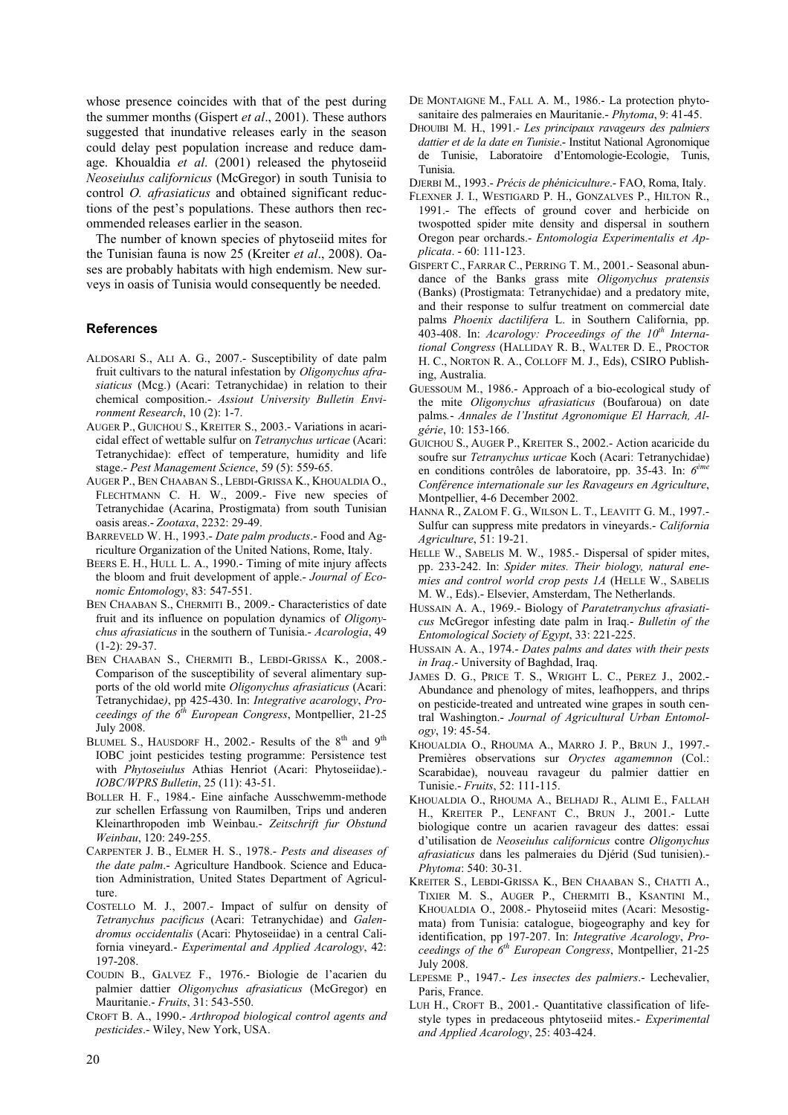whose presence coincides with that of the pest during the summer months (Gispert *et al*., 2001). These authors suggested that inundative releases early in the season could delay pest population increase and reduce damage. Khoualdia *et al*. (2001) released the phytoseiid *Neoseiulus californicus* (McGregor) in south Tunisia to control *O. afrasiaticus* and obtained significant reductions of the pest's populations. These authors then recommended releases earlier in the season.

The number of known species of phytoseiid mites for the Tunisian fauna is now 25 (Kreiter *et al*., 2008). Oases are probably habitats with high endemism. New surveys in oasis of Tunisia would consequently be needed.

#### **References**

- ALDOSARI S., ALI A. G., 2007.- Susceptibility of date palm fruit cultivars to the natural infestation by *Oligonychus afrasiaticus* (Mcg.) (Acari: Tetranychidae) in relation to their chemical composition.- *Assiout University Bulletin Environment Research*, 10 (2): 1-7.
- AUGER P., GUICHOU S., KREITER S., 2003.- Variations in acaricidal effect of wettable sulfur on *Tetranychus urticae* (Acari: Tetranychidae): effect of temperature, humidity and life stage.- *Pest Management Science*, 59 (5): 559-65.
- AUGER P., BEN CHAABAN S., LEBDI-GRISSA K., KHOUALDIA O., FLECHTMANN C. H. W., 2009.- Five new species of Tetranychidae (Acarina, Prostigmata) from south Tunisian oasis areas.- *Zootaxa*, 2232: 29-49.
- BARREVELD W. H., 1993.- *Date palm products*.- Food and Agriculture Organization of the United Nations, Rome, Italy.
- BEERS E. H., HULL L. A., 1990.- Timing of mite injury affects the bloom and fruit development of apple.- *Journal of Economic Entomology*, 83: 547-551.
- BEN CHAABAN S., CHERMITI B., 2009.- Characteristics of date fruit and its influence on population dynamics of *Oligonychus afrasiaticus* in the southern of Tunisia.- *Acarologia*, 49 (1-2): 29-37.
- BEN CHAABAN S., CHERMITI B., LEBDI-GRISSA K., 2008.- Comparison of the susceptibility of several alimentary supports of the old world mite *Oligonychus afrasiaticus* (Acari: Tetranychidae*)*, pp 425-430. In: *Integrative acarology*, *Proceedings of the 6th European Congress*, Montpellier, 21-25 July 2008.
- BLUMEL S., HAUSDORF H., 2002.- Results of the  $8<sup>th</sup>$  and  $9<sup>th</sup>$ IOBC joint pesticides testing programme: Persistence test with *Phytoseiulus* Athias Henriot (Acari: Phytoseiidae).- *IOBC/WPRS Bulletin*, 25 (11): 43-51.
- BOLLER H. F., 1984.- Eine ainfache Ausschwemm-methode zur schellen Erfassung von Raumilben, Trips und anderen Kleinarthropoden imb Weinbau.- *Zeitschrift fur Obstund Weinbau*, 120: 249-255.
- CARPENTER J. B., ELMER H. S., 1978.- *Pests and diseases of the date palm*.- Agriculture Handbook. Science and Education Administration, United States Department of Agriculture.
- COSTELLO M. J., 2007.- Impact of sulfur on density of *Tetranychus pacificus* (Acari: Tetranychidae) and *Galendromus occidentalis* (Acari: Phytoseiidae) in a central California vineyard.- *Experimental and Applied Acarology*, 42: 197-208.
- COUDIN B., GALVEZ F., 1976.- Biologie de l'acarien du palmier dattier *Oligonychus afrasiaticus* (McGregor) en Mauritanie.- *Fruits*, 31: 543-550.
- CROFT B. A., 1990.- *Arthropod biological control agents and pesticides*.- Wiley, New York, USA.
- DE MONTAIGNE M., FALL A. M., 1986.- La protection phytosanitaire des palmeraies en Mauritanie.- *Phytoma*, 9: 41-45.
- DHOUIBI M. H., 1991.- *Les principaux ravageurs des palmiers dattier et de la date en Tunisie*.- Institut National Agronomique de Tunisie, Laboratoire d'Entomologie-Ecologie, Tunis, Tunisia.
- DJERBI M., 1993.- *Précis de phéniciculture*.- FAO, Roma, Italy.
- FLEXNER J. I., WESTIGARD P. H., GONZALVES P., HILTON R., 1991.- The effects of ground cover and herbicide on twospotted spider mite density and dispersal in southern Oregon pear orchards.- *Entomologia Experimentalis et Applicata*. - 60: 111-123.
- GISPERT C., FARRAR C., PERRING T. M., 2001.- Seasonal abundance of the Banks grass mite *Oligonychus pratensis* (Banks) (Prostigmata: Tetranychidae) and a predatory mite, and their response to sulfur treatment on commercial date palms *Phoenix dactilifera* L. in Southern California, pp. 403-408. In: Acarology: Proceedings of the 10<sup>th</sup> Interna*tional Congress* (HALLIDAY R. B., WALTER D. E., PROCTOR H. C., NORTON R. A., COLLOFF M. J., Eds), CSIRO Publishing, Australia.
- GUESSOUM M., 1986.- Approach of a bio-ecological study of the mite *Oligonychus afrasiaticus* (Boufaroua) on date palms*.*- *Annales de l'Institut Agronomique El Harrach, Algérie*, 10: 153-166.
- GUICHOU S., AUGER P., KREITER S., 2002.- Action acaricide du soufre sur *Tetranychus urticae* Koch (Acari: Tetranychidae) en conditions contrôles de laboratoire, pp. 35-43. In: *6ème Conférence internationale sur les Ravageurs en Agriculture*, Montpellier, 4-6 December 2002.
- HANNA R., ZALOM F. G., WILSON L. T., LEAVITT G. M., 1997.- Sulfur can suppress mite predators in vineyards.- *California Agriculture*, 51: 19-21.
- HELLE W., SABELIS M. W., 1985.- Dispersal of spider mites, pp. 233-242. In: *Spider mites. Their biology, natural enemies and control world crop pests 1A* (HELLE W., SABELIS M. W., Eds).- Elsevier, Amsterdam, The Netherlands.
- HUSSAIN A. A., 1969.- Biology of *Paratetranychus afrasiaticus* McGregor infesting date palm in Iraq.- *Bulletin of the Entomological Society of Egypt*, 33: 221-225.
- HUSSAIN A. A., 1974.- *Dates palms and dates with their pests in Iraq*.- University of Baghdad, Iraq.
- JAMES D. G., PRICE T. S., WRIGHT L. C., PEREZ J., 2002.- Abundance and phenology of mites, leafhoppers, and thrips on pesticide-treated and untreated wine grapes in south central Washington.- *Journal of Agricultural Urban Entomology*, 19: 45-54.
- KHOUALDIA O., RHOUMA A., MARRO J. P., BRUN J., 1997.- Premières observations sur *Oryctes agamemnon* (Col.: Scarabidae), nouveau ravageur du palmier dattier en Tunisie.- *Fruits*, 52: 111-115.
- KHOUALDIA O., RHOUMA A., BELHADJ R., ALIMI E., FALLAH H., KREITER P., LENFANT C., BRUN J., 2001.- Lutte biologique contre un acarien ravageur des dattes: essai d'utilisation de *Neoseiulus californicus* contre *Oligonychus afrasiaticus* dans les palmeraies du Djérid (Sud tunisien).- *Phytoma*: 540: 30-31.
- KREITER S., LEBDI-GRISSA K., BEN CHAABAN S., CHATTI A., TIXIER M. S., AUGER P., CHERMITI B., KSANTINI M., KHOUALDIA O., 2008.- Phytoseiid mites (Acari: Mesostigmata) from Tunisia: catalogue, biogeography and key for identification, pp 197-207. In: *Integrative Acarology*, *Proceedings of the 6th European Congress*, Montpellier, 21-25 July 2008.
- LEPESME P., 1947.- *Les insectes des palmiers*.- Lechevalier, Paris, France.
- LUH H., CROFT B., 2001.- Quantitative classification of lifestyle types in predaceous phtytoseiid mites.- *Experimental and Applied Acarology*, 25: 403-424.